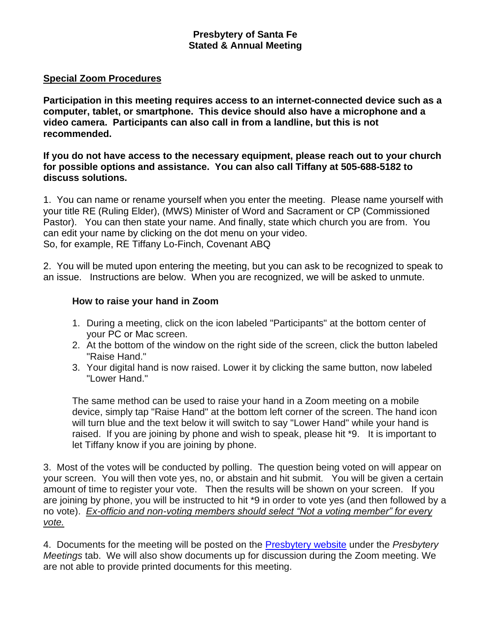## **Presbytery of Santa Fe Stated & Annual Meeting**

#### **Special Zoom Procedures**

**Participation in this meeting requires access to an internet-connected device such as a computer, tablet, or smartphone. This device should also have a microphone and a video camera. Participants can also call in from a landline, but this is not recommended.** 

#### **If you do not have access to the necessary equipment, please reach out to your church for possible options and assistance. You can also call Tiffany at 505-688-5182 to discuss solutions.**

1. You can name or rename yourself when you enter the meeting. Please name yourself with your title RE (Ruling Elder), (MWS) Minister of Word and Sacrament or CP (Commissioned Pastor). You can then state your name. And finally, state which church you are from. You can edit your name by clicking on the dot menu on your video. So, for example, RE Tiffany Lo-Finch, Covenant ABQ

2. You will be muted upon entering the meeting, but you can ask to be recognized to speak to an issue. Instructions are below. When you are recognized, we will be asked to unmute.

## **How to raise your hand in Zoom**

- 1. During a meeting, click on the icon labeled "Participants" at the bottom center of your [PC](https://bestbuy.7tiv.net/c/196318/614286/10014?u=https%3A%2F%2Fwww.bestbuy.com%2Fsite%2Flenovo-ideapad-130-15-6-laptop-amd-a9-series-4gb-memory-amd-radeon-r5-128gb-solid-state-drive-black%2F6323661.p%3FskuId%3D6323661&subid2=1591805478505agryasp8i&subId3=xid:fr1591805483230ajc) or [Mac](https://bestbuy.7tiv.net/c/196318/614286/10014?u=https%3A%2F%2Fwww.bestbuy.com%2Fsite%2Fapple-macbook-pro-13-display-with-touch-bar-intel-core-i5-8gb-memory-128gb-ssd-latest-model-space-gray%2F5998700.p%3FskuId%3D5998700&subid2=1591805478505a91uhfifx&subId3=xid:fr1591805483230feg) screen.
- 2. At the bottom of the window on the right side of the screen, click the button labeled "Raise Hand."
- 3. Your digital hand is now raised. Lower it by clicking the same button, now labeled "Lower Hand."

The same method can be used to raise your hand in a Zoom meeting on a mobile device, simply tap "Raise Hand" at the bottom left corner of the screen. The hand icon will turn blue and the text below it will switch to say "Lower Hand" while your hand is raised. If you are joining by phone and wish to speak, please hit \*9. It is important to let Tiffany know if you are joining by phone.

3. Most of the votes will be conducted by polling. The question being voted on will appear on your screen. You will then vote yes, no, or abstain and hit submit. You will be given a certain amount of time to register your vote. Then the results will be shown on your screen. If you are joining by phone, you will be instructed to hit \*9 in order to vote yes (and then followed by a no vote). *Ex-officio and non-voting members should select "Not a voting member" for every vote.*

4. Documents for the meeting will be posted on the [Presbytery website](https://santafepresbytery.org/) under the *Presbytery Meetings* tab. We will also show documents up for discussion during the Zoom meeting. We are not able to provide printed documents for this meeting.